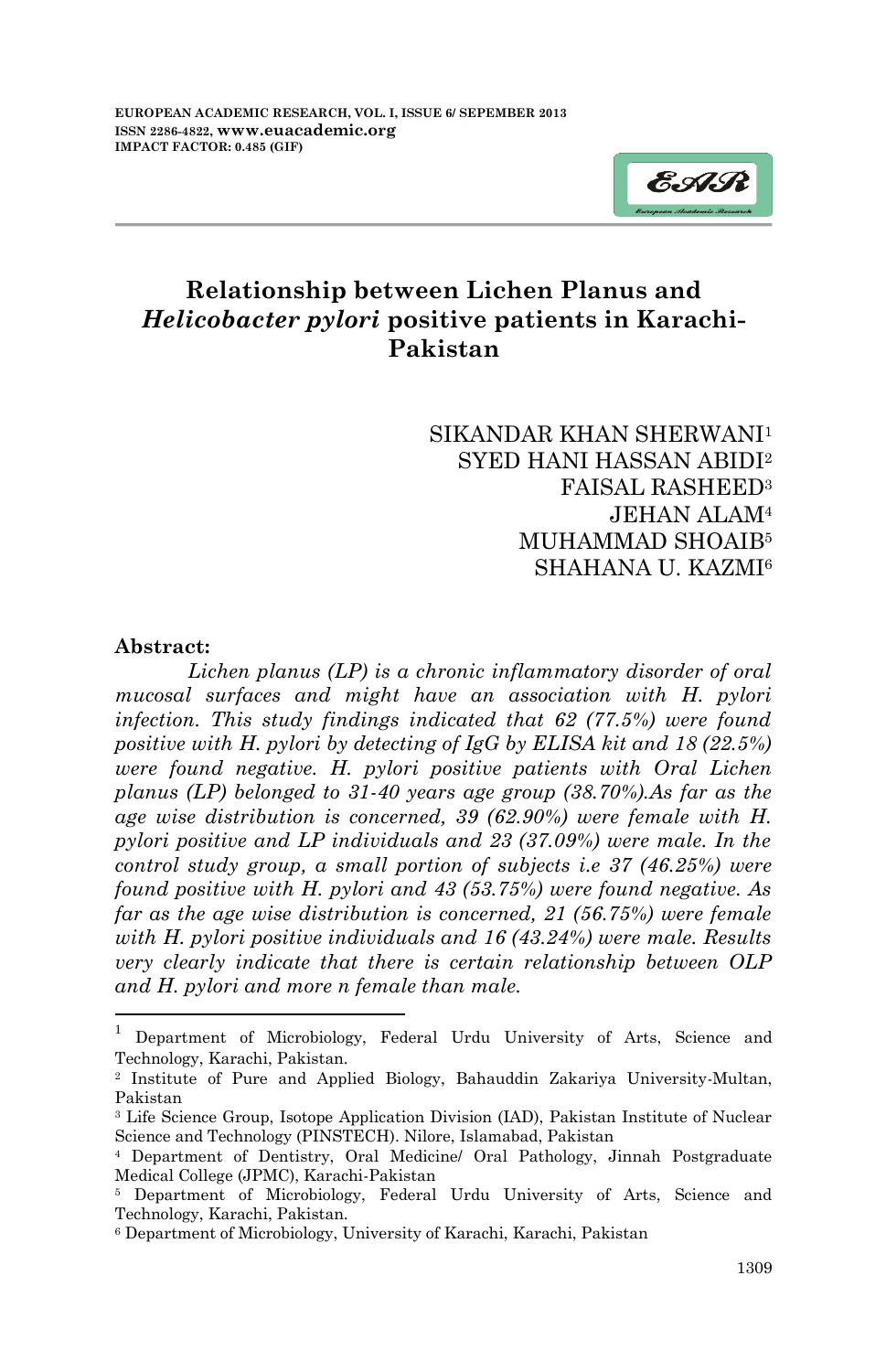

# **Relationship between Lichen Planus and**  *Helicobacter pylori* **positive patients in Karachi-Pakistan**

### SIKANDAR KHAN SHERWANI<sup>1</sup> SYED HANI HASSAN ABIDI<sup>2</sup> FAISAL RASHEED<sup>3</sup> JEHAN ALAM<sup>4</sup> MUHAMMAD SHOAIB<sup>5</sup> SHAHANA II KAZMI<sup>6</sup>

#### **Abstract:**

**.** 

*Lichen planus (LP) is a chronic inflammatory disorder of oral mucosal surfaces and might have an association with H. pylori infection. This study findings indicated that 62 (77.5%) were found positive with H. pylori by detecting of IgG by ELISA kit and 18 (22.5%) were found negative. H. pylori positive patients with Oral Lichen planus (LP) belonged to 31-40 years age group (38.70%).As far as the age wise distribution is concerned, 39 (62.90%) were female with H. pylori positive and LP individuals and 23 (37.09%) were male. In the control study group, a small portion of subjects i.e 37 (46.25%) were found positive with H. pylori and 43 (53.75%) were found negative. As far as the age wise distribution is concerned, 21 (56.75%) were female with H. pylori positive individuals and 16 (43.24%) were male. Results very clearly indicate that there is certain relationship between OLP and H. pylori and more n female than male.*

<sup>1</sup> Department of Microbiology, Federal Urdu University of Arts, Science and Technology, Karachi, Pakistan.

<sup>2</sup> Institute of Pure and Applied Biology, Bahauddin Zakariya University-Multan, Pakistan

<sup>3</sup> Life Science Group, Isotope Application Division (IAD), Pakistan Institute of Nuclear Science and Technology (PINSTECH). Nilore, Islamabad, Pakistan

<sup>4</sup> Department of Dentistry, Oral Medicine/ Oral Pathology, Jinnah Postgraduate Medical College (JPMC), Karachi-Pakistan

<sup>5</sup> Department of Microbiology, Federal Urdu University of Arts, Science and Technology, Karachi, Pakistan.

<sup>6</sup> Department of Microbiology, University of Karachi, Karachi, Pakistan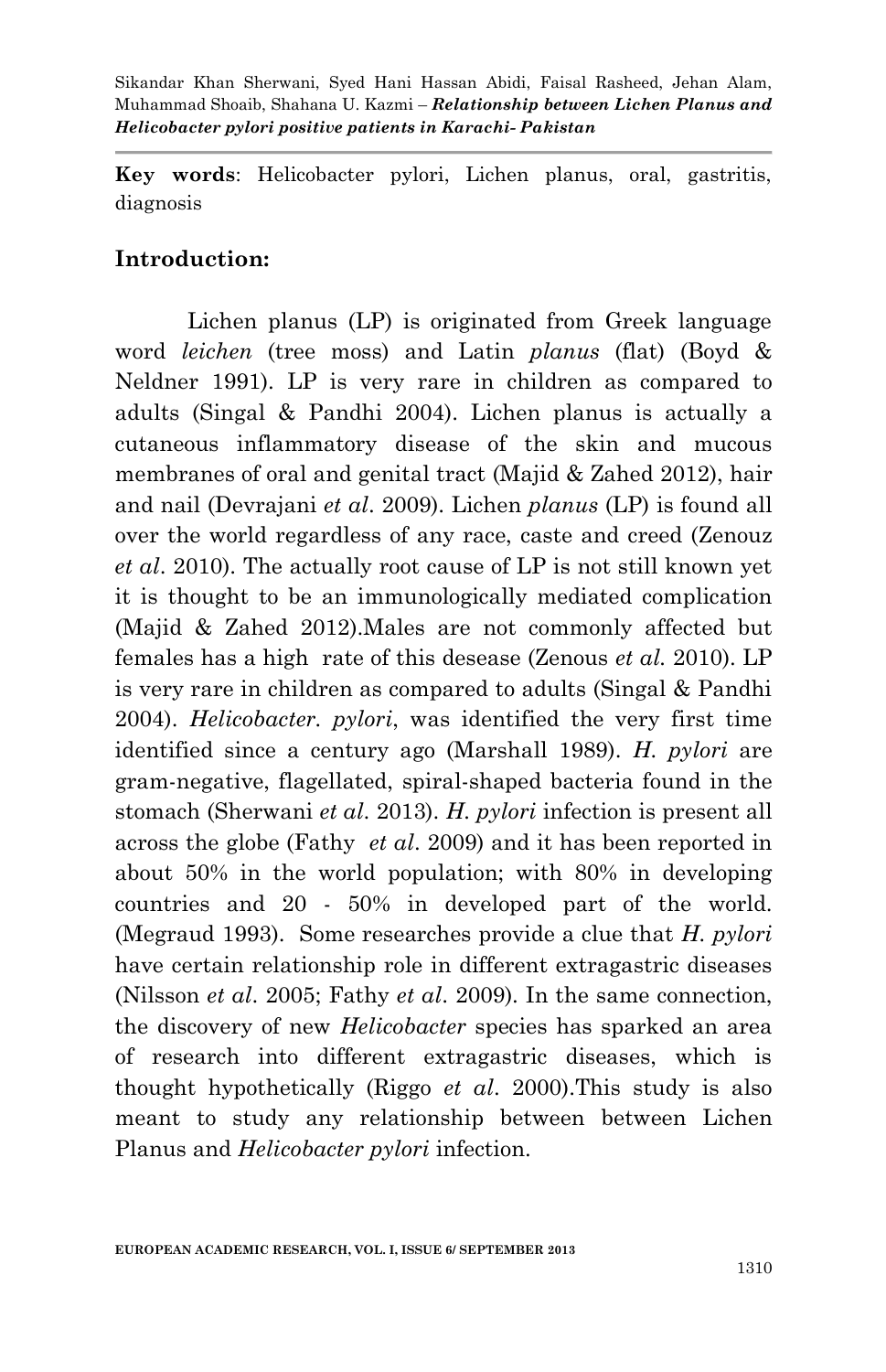**Key words**: Helicobacter pylori, Lichen planus, oral, gastritis, diagnosis

## **Introduction:**

Lichen planus (LP) is originated from Greek language word *leichen* (tree moss) and Latin *planus* (flat) (Boyd & Neldner 1991). LP is very rare in children as compared to adults (Singal & Pandhi 2004). Lichen planus is actually a cutaneous inflammatory disease of the skin and mucous membranes of oral and genital tract (Majid & Zahed 2012), hair and nail (Devrajani *et al*. 2009). Lichen *planus* (LP) is found all over the world regardless of any race, caste and creed (Zenouz *et al*. 2010). The actually root cause of LP is not still known yet it is thought to be an immunologically mediated complication (Majid & Zahed 2012).Males are not commonly affected but females has a high rate of this desease (Zenous *et al.* 2010). LP is very rare in children as compared to adults (Singal & Pandhi 2004). *Helicobacter. pylori*, was identified the very first time identified since a century ago (Marshall 1989). *H. pylori* are gram-negative, flagellated, spiral-shaped bacteria found in the stomach (Sherwani *et al*. 2013). *H. pylori* infection is present all across the globe (Fathy *et al*. 2009) and it has been reported in about 50% in the world population; with 80% in developing countries and 20 - 50% in developed part of the world. (Megraud 1993). Some researches provide a clue that *H. pylori*  have certain relationship role in different extragastric diseases (Nilsson *et al*. 2005; Fathy *et al*. 2009). In the same connection, the discovery of new *Helicobacter* species has sparked an area of research into different extragastric diseases, which is thought hypothetically (Riggo *et al*. 2000).This study is also meant to study any relationship between between Lichen Planus and *Helicobacter pylori* infection.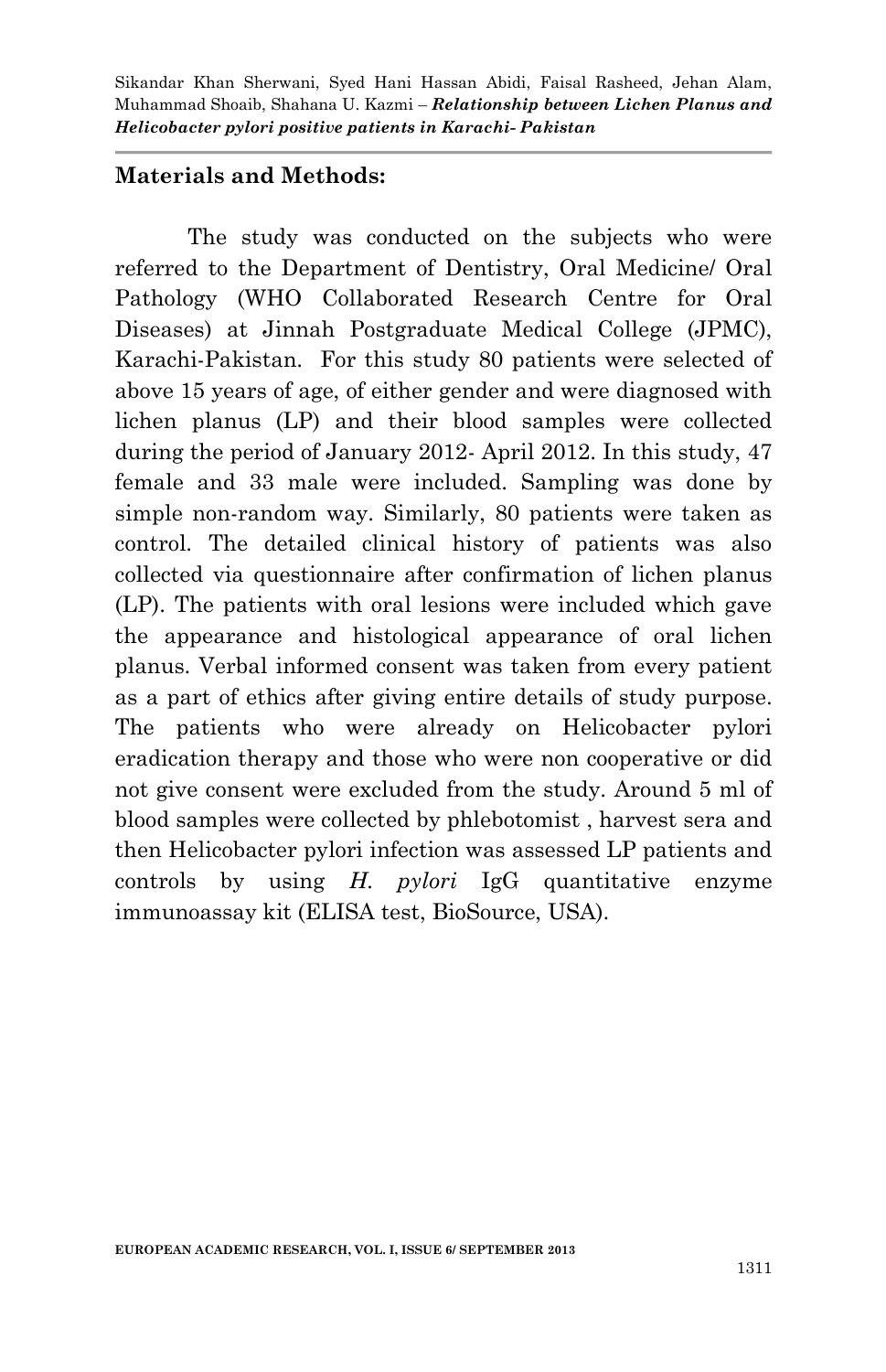### **Materials and Methods:**

The study was conducted on the subjects who were referred to the Department of Dentistry, Oral Medicine/ Oral Pathology (WHO Collaborated Research Centre for Oral Diseases) at Jinnah Postgraduate Medical College (JPMC), Karachi-Pakistan. For this study 80 patients were selected of above 15 years of age, of either gender and were diagnosed with lichen planus (LP) and their blood samples were collected during the period of January 2012- April 2012. In this study, 47 female and 33 male were included. Sampling was done by simple non-random way. Similarly, 80 patients were taken as control. The detailed clinical history of patients was also collected via questionnaire after confirmation of lichen planus (LP). The patients with oral lesions were included which gave the appearance and histological appearance of oral lichen planus. Verbal informed consent was taken from every patient as a part of ethics after giving entire details of study purpose. The patients who were already on Helicobacter pylori eradication therapy and those who were non cooperative or did not give consent were excluded from the study. Around 5 ml of blood samples were collected by phlebotomist , harvest sera and then Helicobacter pylori infection was assessed LP patients and controls by using *H. pylori* IgG quantitative enzyme immunoassay kit (ELISA test, BioSource, USA).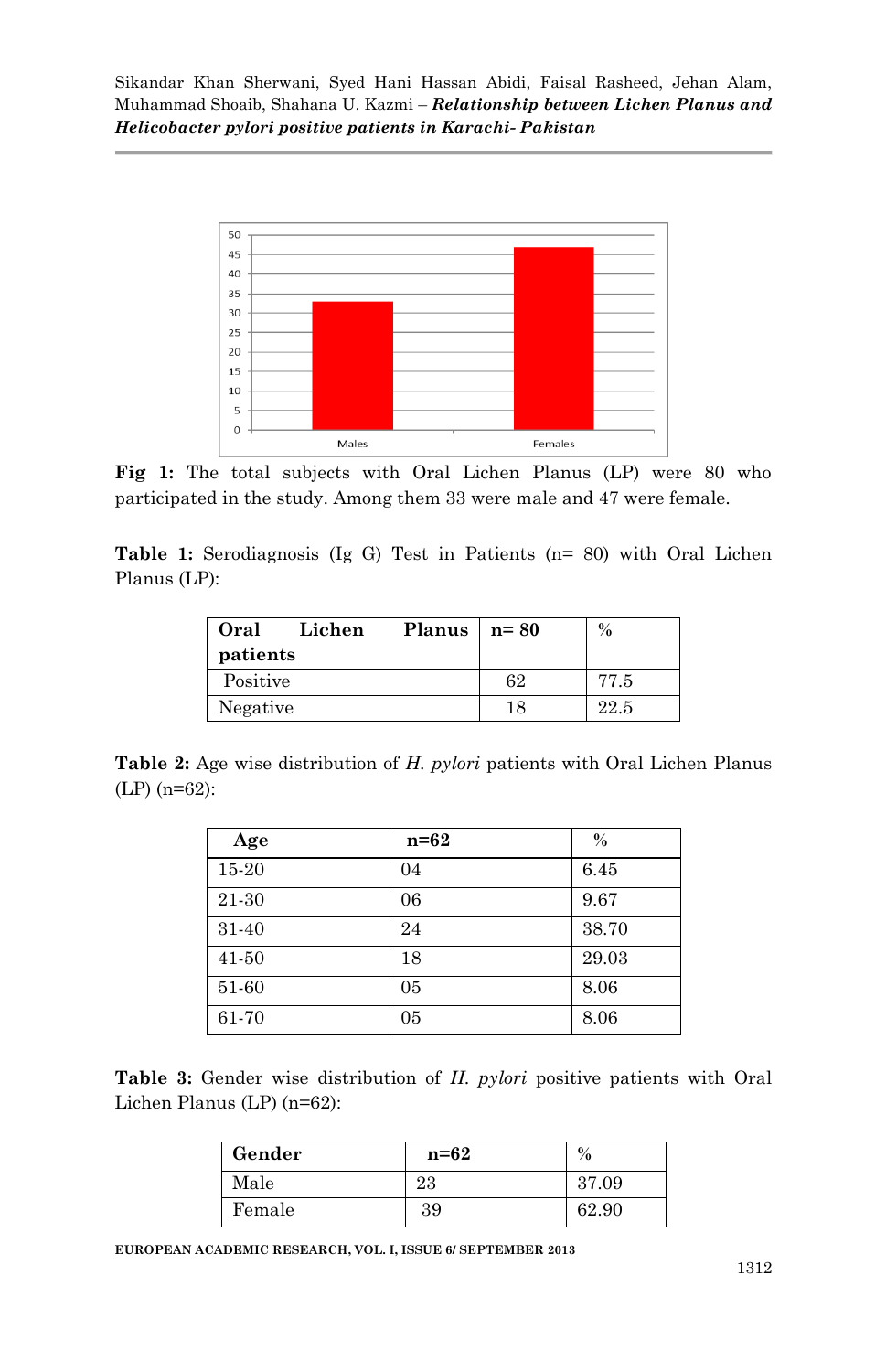

**Fig 1:** The total subjects with Oral Lichen Planus (LP) were 80 who participated in the study. Among them 33 were male and 47 were female.

**Table 1:** Serodiagnosis (Ig G) Test in Patients (n= 80) with Oral Lichen Planus (LP):

| Oral     | Lichen | Planus | $n = 80$ | $\%$ |
|----------|--------|--------|----------|------|
| patients |        |        |          |      |
| Positive |        |        | 62       | 77.5 |
| Negative |        |        | 18       | 22.5 |

**Table 2:** Age wise distribution of *H. pylori* patients with Oral Lichen Planus (LP) (n=62):

| Age       | $n=62$ | $\%$  |
|-----------|--------|-------|
| 15-20     | 04     | 6.45  |
| 21-30     | 06     | 9.67  |
| 31-40     | 24     | 38.70 |
| $41 - 50$ | 18     | 29.03 |
| 51-60     | 05     | 8.06  |
| 61-70     | 05     | 8.06  |

|  |                            | <b>Table 3:</b> Gender wise distribution of H. pylori positive patients with Oral |  |  |  |  |
|--|----------------------------|-----------------------------------------------------------------------------------|--|--|--|--|
|  | Lichen Planus (LP) (n=62): |                                                                                   |  |  |  |  |

| Gender | $n=62$ | $\frac{0}{0}$ |
|--------|--------|---------------|
| Male   | 23     | 37.09         |
| Female | 39     | 62.90         |

**EUROPEAN ACADEMIC RESEARCH, VOL. I, ISSUE 6/ SEPTEMBER 2013**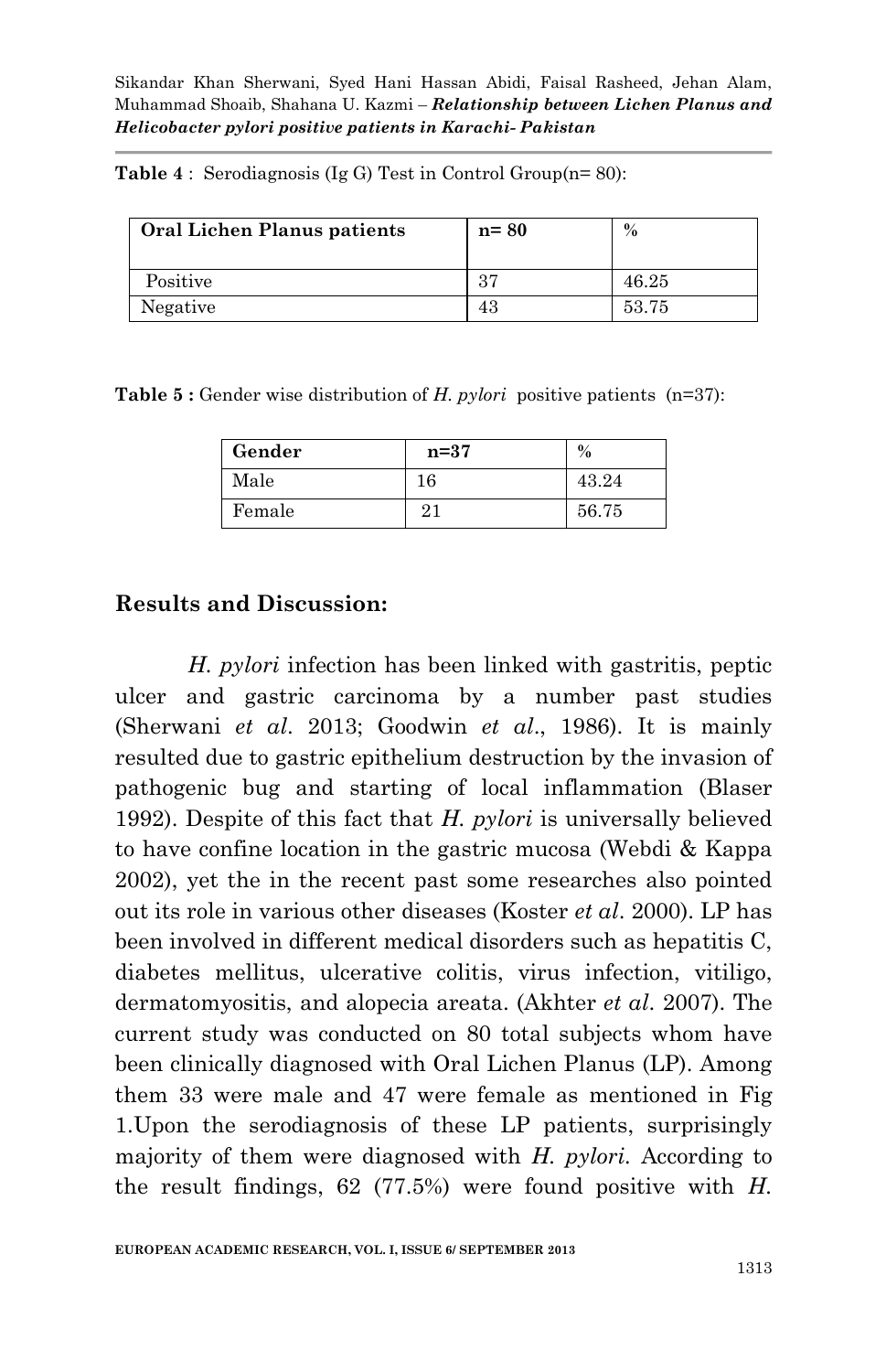**Table 4** : Serodiagnosis (Ig G) Test in Control Group(n= 80):

| Oral Lichen Planus patients | $n = 80$ | $\%$  |
|-----------------------------|----------|-------|
| Positive                    | 37       | 46.25 |
| Negative                    | 43       | 53.75 |

**Table 5 :** Gender wise distribution of *H. pylori* positive patients (n=37):

| Gender | $n=37$ | $\%$  |
|--------|--------|-------|
| Male   | 16     | 43.24 |
| Female | 21     | 56.75 |

### **Results and Discussion:**

*H. pylori* infection has been linked with gastritis, peptic ulcer and gastric carcinoma by a number past studies (Sherwani *et al*. 2013; Goodwin *et al*., 1986). It is mainly resulted due to gastric epithelium destruction by the invasion of pathogenic bug and starting of local inflammation (Blaser 1992). Despite of this fact that *H. pylori* is universally believed to have confine location in the gastric mucosa (Webdi & Kappa 2002), yet the in the recent past some researches also pointed out its role in various other diseases (Koster *et al*. 2000). LP has been involved in different medical disorders such as hepatitis C, diabetes mellitus, ulcerative colitis, virus infection, vitiligo, dermatomyositis, and alopecia areata. (Akhter *et al*. 2007). The current study was conducted on 80 total subjects whom have been clinically diagnosed with Oral Lichen Planus (LP). Among them 33 were male and 47 were female as mentioned in Fig 1.Upon the serodiagnosis of these LP patients, surprisingly majority of them were diagnosed with *H. pylori.* According to the result findings, 62 (77.5%) were found positive with *H.*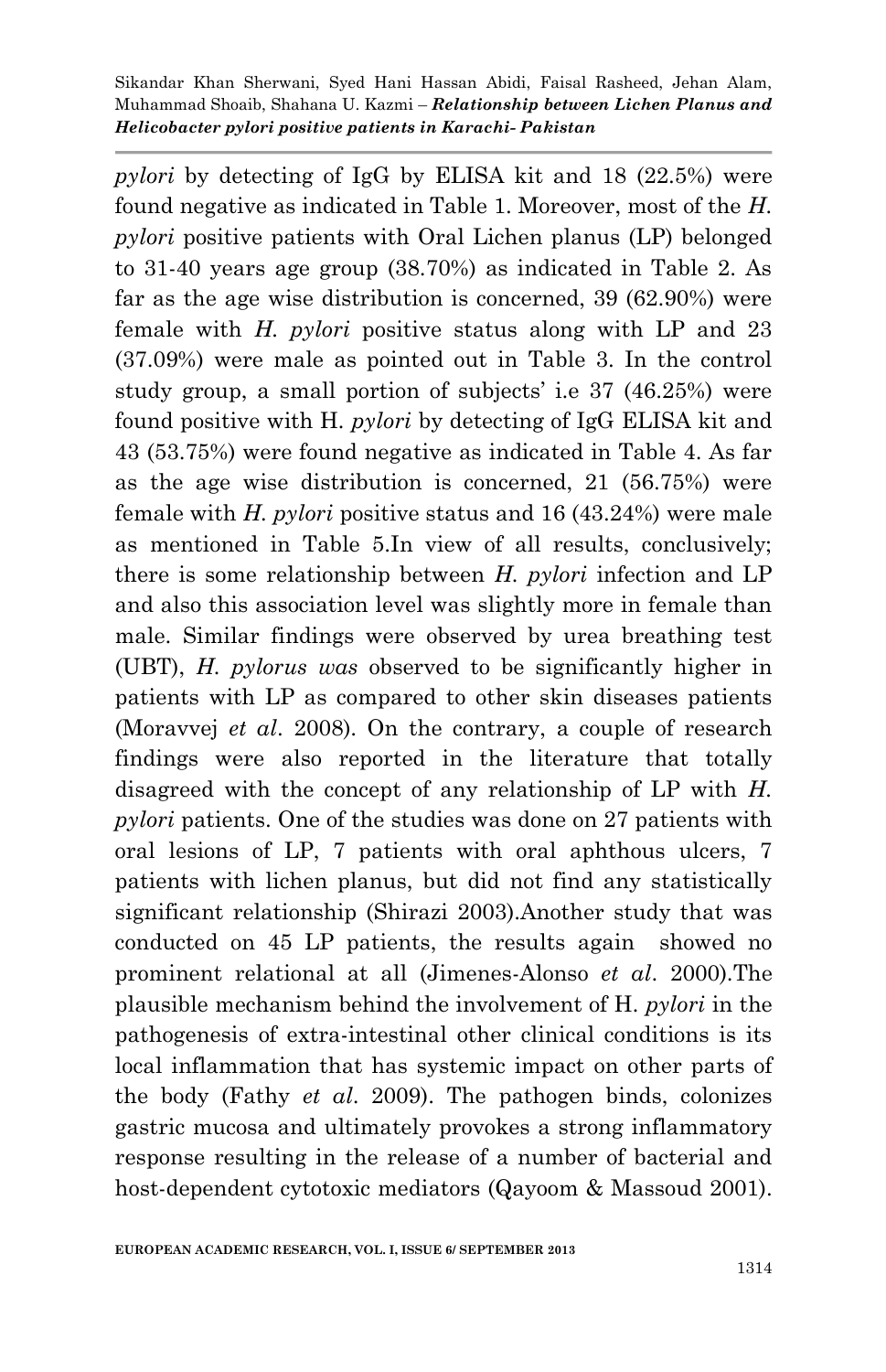*pylori* by detecting of IgG by ELISA kit and 18 (22.5%) were found negative as indicated in Table 1. Moreover, most of the *H. pylori* positive patients with Oral Lichen planus (LP) belonged to 31-40 years age group (38.70%) as indicated in Table 2. As far as the age wise distribution is concerned, 39 (62.90%) were female with *H. pylori* positive status along with LP and 23 (37.09%) were male as pointed out in Table 3. In the control study group, a small portion of subjects' i.e 37 (46.25%) were found positive with H*. pylori* by detecting of IgG ELISA kit and 43 (53.75%) were found negative as indicated in Table 4. As far as the age wise distribution is concerned, 21 (56.75%) were female with *H. pylori* positive status and 16 (43.24%) were male as mentioned in Table 5.In view of all results, conclusively; there is some relationship between *H. pylori* infection and LP and also this association level was slightly more in female than male. Similar findings were observed by urea breathing test (UBT), *H. pylorus was* observed to be significantly higher in patients with LP as compared to other skin diseases patients (Moravvej *et al*. 2008). On the contrary, a couple of research findings were also reported in the literature that totally disagreed with the concept of any relationship of LP with *H. pylori* patients. One of the studies was done on 27 patients with oral lesions of LP, 7 patients with oral aphthous ulcers, 7 patients with lichen planus, but did not find any statistically significant relationship (Shirazi 2003).Another study that was conducted on 45 LP patients, the results again showed no prominent relational at all (Jimenes-Alonso *et al*. 2000).The plausible mechanism behind the involvement of H*. pylori* in the pathogenesis of extra-intestinal other clinical conditions is its local inflammation that has systemic impact on other parts of the body (Fathy *et al*. 2009). The pathogen binds, colonizes gastric mucosa and ultimately provokes a strong inflammatory response resulting in the release of a number of bacterial and host-dependent cytotoxic mediators (Qayoom & Massoud 2001).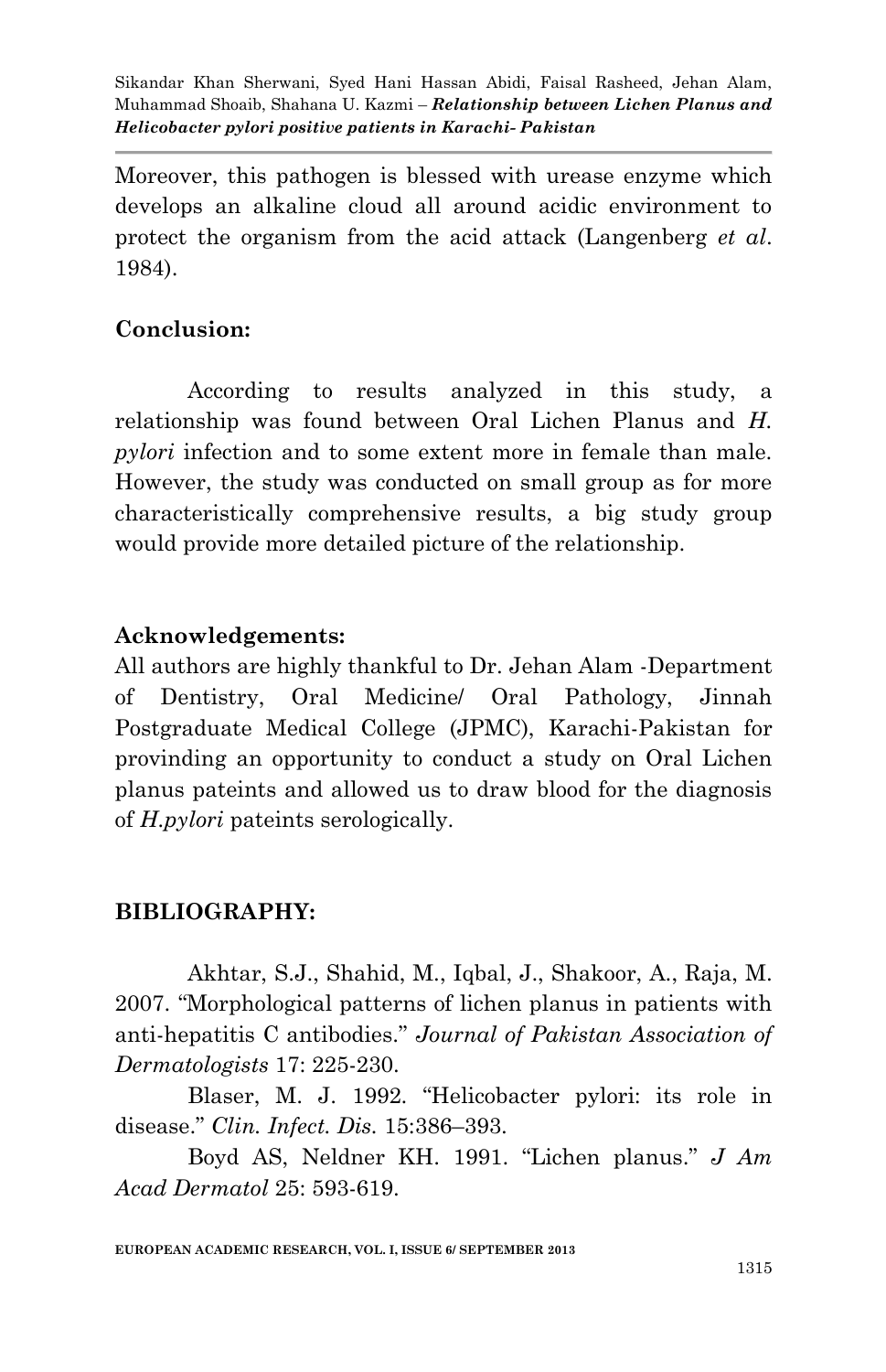Moreover, this pathogen is blessed with urease enzyme which develops an alkaline cloud all around acidic environment to protect the organism from the acid attack (Langenberg *et al*. 1984).

# **Conclusion:**

According to results analyzed in this study, a relationship was found between Oral Lichen Planus and *H. pylori* infection and to some extent more in female than male. However, the study was conducted on small group as for more characteristically comprehensive results, a big study group would provide more detailed picture of the relationship.

### **Acknowledgements:**

All authors are highly thankful to Dr. Jehan Alam -Department of Dentistry, Oral Medicine/ Oral Pathology, Jinnah Postgraduate Medical College (JPMC), Karachi-Pakistan for provinding an opportunity to conduct a study on Oral Lichen planus pateints and allowed us to draw blood for the diagnosis of *H.pylori* pateints serologically.

# **BIBLIOGRAPHY:**

Akhtar, S.J., Shahid, M., Iqbal, J., Shakoor, A., Raja, M. 2007. "Morphological patterns of lichen planus in patients with anti-hepatitis C antibodies." *Journal of Pakistan Association of Dermatologists* 17: 225-230.

Blaser, M. J. 1992. "Helicobacter pylori: its role in disease." *Clin. Infect. Dis.* 15:386–393.

Boyd AS, Neldner KH. 1991. "Lichen planus." *J Am Acad Dermatol* 25: 593-619.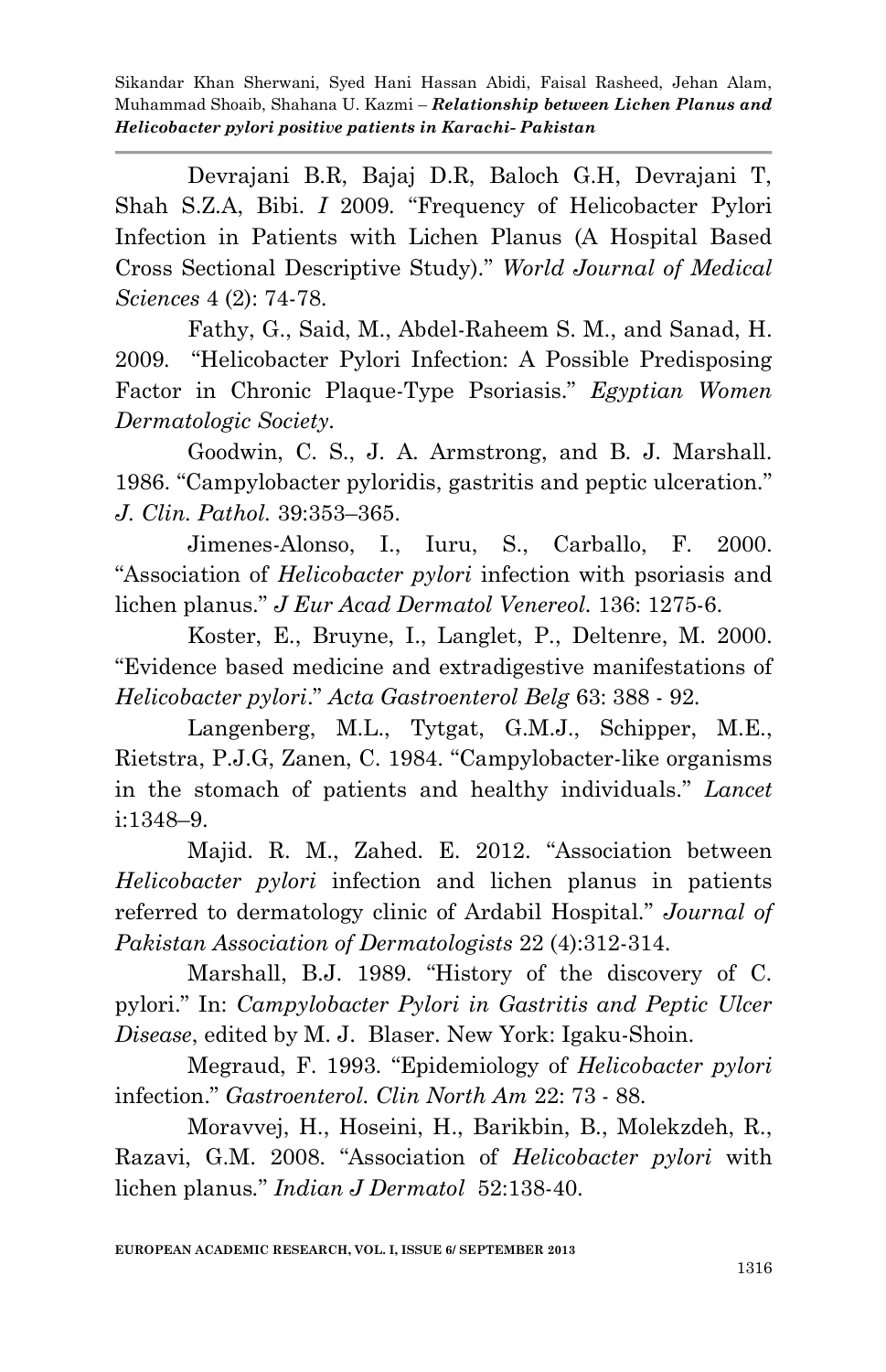Devrajani B.R, Bajaj D.R, Baloch G.H, Devrajani T, Shah S.Z.A, Bibi. *I* 2009*.* "Frequency of Helicobacter Pylori Infection in Patients with Lichen Planus (A Hospital Based Cross Sectional Descriptive Study)." *World Journal of Medical Sciences* 4 (2): 74-78.

Fathy, G., Said, M., Abdel-Raheem S. M., and Sanad, H. 2009*.* "Helicobacter Pylori Infection: A Possible Predisposing Factor in Chronic Plaque-Type Psoriasis." *Egyptian Women Dermatologic Society.*

Goodwin, C. S., J. A. Armstrong, and B. J. Marshall. 1986. "Campylobacter pyloridis, gastritis and peptic ulceration." *J. Clin. Pathol.* 39:353–365.

Jimenes-Alonso, I., Iuru, S., Carballo, F. 2000. "Association of *Helicobacter pylori* infection with psoriasis and lichen planus." *J Eur Acad Dermatol Venereol.* 136: 1275-6.

Koster, E., Bruyne, I., Langlet, P., Deltenre, M. 2000. "Evidence based medicine and extradigestive manifestations of *Helicobacter pylori*." *Acta Gastroenterol Belg* 63: 388 - 92.

Langenberg, M.L., Tytgat, G.M.J., Schipper, M.E., Rietstra, P.J.G, Zanen, C. 1984. "Campylobacter-like organisms in the stomach of patients and healthy individuals." *Lancet*  i:1348–9.

Majid. R. M., Zahed. E. 2012. "Association between *Helicobacter pylori* infection and lichen planus in patients referred to dermatology clinic of Ardabil Hospital." *Journal of Pakistan Association of Dermatologists* 22 (4):312-314.

Marshall, B.J. 1989. "History of the discovery of C. pylori." In: *Campylobacter Pylori in Gastritis and Peptic Ulcer Disease*, edited by M. J. Blaser. New York: Igaku-Shoin.

Megraud, F. 1993. "Epidemiology of *Helicobacter pylori*  infection." *Gastroenterol. Clin North Am* 22: 73 - 88.

Moravvej, H., Hoseini, H., Barikbin, B., Molekzdeh, R., Razavi, G.M. 2008. "Association of *Helicobacter pylori* with lichen planus*.*" *Indian J Dermatol* 52:138-40.